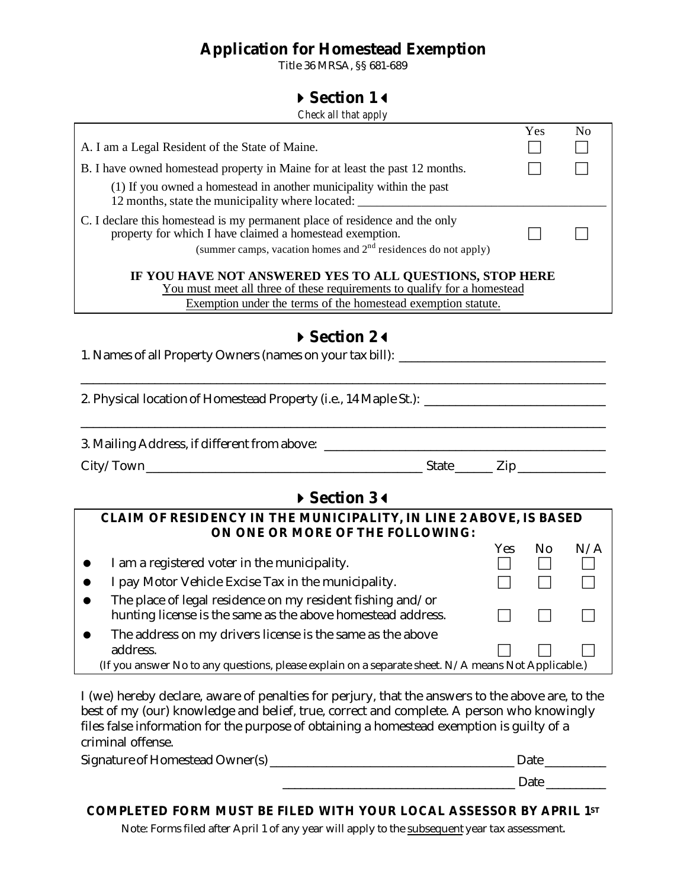# **Application for Homestead Exemption**

Title 36 MRSA, §§ 681-689

## **4Section 13**

*Check all that apply*

|                                                                                                                                                                                                             |      | Yes | N <sub>0</sub> |  |  |
|-------------------------------------------------------------------------------------------------------------------------------------------------------------------------------------------------------------|------|-----|----------------|--|--|
| A. I am a Legal Resident of the State of Maine.                                                                                                                                                             |      |     |                |  |  |
| B. I have owned homestead property in Maine for at least the past 12 months.                                                                                                                                |      |     |                |  |  |
| (1) If you owned a homestead in another municipality within the past<br>12 months, state the municipality where located: _______________________________                                                    |      |     |                |  |  |
| C. I declare this homestead is my permanent place of residence and the only<br>property for which I have claimed a homestead exemption.<br>(summer camps, vacation homes and $2nd$ residences do not apply) |      |     |                |  |  |
| IF YOU HAVE NOT ANSWERED YES TO ALL QUESTIONS, STOP HERE<br>You must meet all three of these requirements to qualify for a homestead<br>Exemption under the terms of the homestead exemption statute.       |      |     |                |  |  |
| Section 24<br>1. Names of all Property Owners (names on your tax bill): _______________________                                                                                                             |      |     |                |  |  |
| 2. Physical location of Homestead Property (i.e., 14 Maple St.): ___________________________________                                                                                                        |      |     |                |  |  |
|                                                                                                                                                                                                             |      |     |                |  |  |
| Section 34                                                                                                                                                                                                  |      |     |                |  |  |
| CLAIM OF RESIDENCY IN THE MUNICIPALITY, IN LINE 2 ABOVE, IS BASED<br>ON ONE OR MORE OF THE FOLLOWING:                                                                                                       |      |     |                |  |  |
| I am a registered voter in the municipality.                                                                                                                                                                | Yes. | No  | N/A            |  |  |
| I pay Motor Vehicle Excise Tax in the municipality.                                                                                                                                                         |      |     |                |  |  |
| The place of legal residence on my resident fishing and/or<br>hunting license is the same as the above homestead address.                                                                                   |      |     |                |  |  |
| The address on my drivers license is the same as the above<br>address.                                                                                                                                      |      |     |                |  |  |
| (If you answer No to any questions, please explain on a separate sheet. N/A means Not Applicable.)                                                                                                          |      |     |                |  |  |

I (we) hereby declare, aware of penalties for perjury, that the answers to the above are, to the best of my (our) knowledge and belief, true, correct and complete. A person who knowingly files false information for the purpose of obtaining a homestead exemption is guilty of a criminal offense.

| Signature of Homestead Owner(s) | Date |  |
|---------------------------------|------|--|
|                                 | Date |  |

## **COMPLETED FORM MUST BE FILED WITH YOUR LOCAL ASSESSOR BY APRIL 1ST**

Note: Forms filed after April 1 of any year will apply to the subsequent year tax assessment.